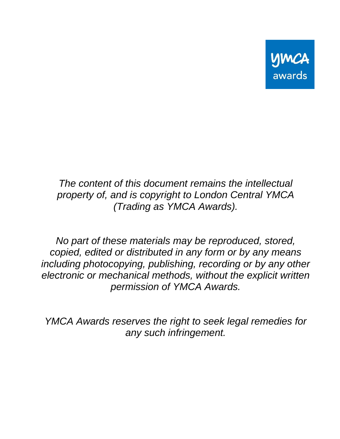

*The content of this document remains the intellectual property of, and is copyright to London Central YMCA (Trading as YMCA Awards).*

*No part of these materials may be reproduced, stored, copied, edited or distributed in any form or by any means including photocopying, publishing, recording or by any other electronic or mechanical methods, without the explicit written permission of YMCA Awards.*

*YMCA Awards reserves the right to seek legal remedies for any such infringement.*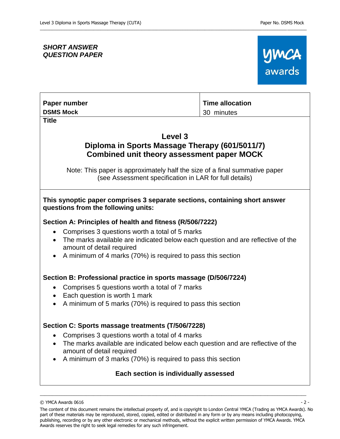# *SHORT ANSWER QUESTION PAPER*



# **Paper number DSMS Mock**

**Title**

# **Level 3 Diploma in Sports Massage Therapy (601/5011/7) Combined unit theory assessment paper MOCK**

**Time allocation**

30 minutes

\_\_\_\_\_\_\_\_\_\_\_\_\_\_\_\_\_\_\_\_\_\_\_\_\_\_\_\_\_\_\_\_\_\_\_\_\_\_\_\_\_\_\_\_\_\_\_\_\_\_\_\_\_\_\_\_\_\_\_\_\_\_\_\_\_\_\_\_\_\_\_\_\_\_\_\_\_\_\_\_\_\_\_\_\_\_\_\_\_\_\_\_\_\_\_\_\_\_\_\_\_\_\_\_\_\_\_\_\_\_

Note: This paper is approximately half the size of a final summative paper (see Assessment specification in LAR for full details)

## **This synoptic paper comprises 3 separate sections, containing short answer questions from the following units:**

# **Section A: Principles of health and fitness (R/506/7222)**

- Comprises 3 questions worth a total of 5 marks
- The marks available are indicated below each question and are reflective of the amount of detail required
- A minimum of 4 marks (70%) is required to pass this section

## **Section B: Professional practice in sports massage (D/506/7224)**

- Comprises 5 questions worth a total of 7 marks
- Each question is worth 1 mark
- A minimum of 5 marks (70%) is required to pass this section

## **Section C: Sports massage treatments (T/506/7228)**

- Comprises 3 questions worth a total of 4 marks
- The marks available are indicated below each question and are reflective of the amount of detail required
- A minimum of 3 marks (70%) is required to pass this section

# **Each section is individually assessed**

 $\odot$  YMCA Awards 0616  $-2$  -

The content of this document remains the intellectual property of, and is copyright to London Central YMCA (Trading as YMCA Awards). No part of these materials may be reproduced, stored, copied, edited or distributed in any form or by any means including photocopying, publishing, recording or by any other electronic or mechanical methods, without the explicit written permission of YMCA Awards. YMCA Awards reserves the right to seek legal remedies for any such infringement.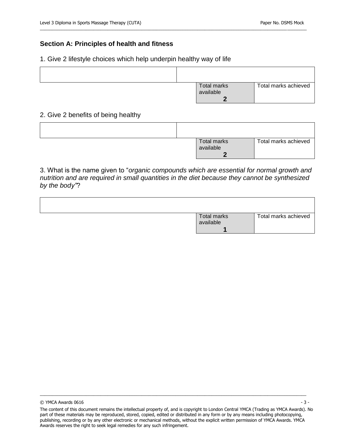### **Section A: Principles of health and fitness**

#### 1. Give 2 lifestyle choices which help underpin healthy way of life

| <b>Total marks</b> | Total marks achieved |
|--------------------|----------------------|
| available          |                      |
|                    |                      |

2. Give 2 benefits of being healthy

|  | Total marks | Total marks achieved |
|--|-------------|----------------------|
|  | available   |                      |
|  |             |                      |

3. What is the name given to "*organic compounds which are essential for normal growth and nutrition and are required in small quantities in the diet because they cannot be synthesized by the body"*?

| <b>Total marks</b> | Total marks achieved |
|--------------------|----------------------|
| available          |                      |

**1**

 $\odot$  YMCA Awards 0616  $-$  3 -

The content of this document remains the intellectual property of, and is copyright to London Central YMCA (Trading as YMCA Awards). No part of these materials may be reproduced, stored, copied, edited or distributed in any form or by any means including photocopying, publishing, recording or by any other electronic or mechanical methods, without the explicit written permission of YMCA Awards. YMCA Awards reserves the right to seek legal remedies for any such infringement.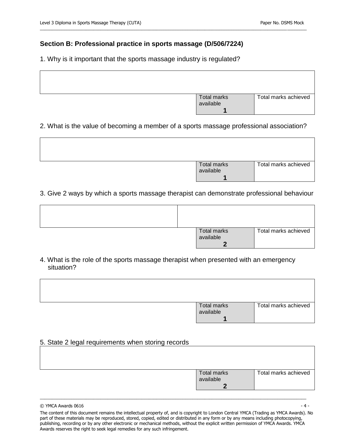## **Section B: Professional practice in sports massage (D/506/7224)**

1. Why is it important that the sports massage industry is regulated?

| Total marks<br>available | Total marks achieved |
|--------------------------|----------------------|

\_\_\_\_\_\_\_\_\_\_\_\_\_\_\_\_\_\_\_\_\_\_\_\_\_\_\_\_\_\_\_\_\_\_\_\_\_\_\_\_\_\_\_\_\_\_\_\_\_\_\_\_\_\_\_\_\_\_\_\_\_\_\_\_\_\_\_\_\_\_\_\_\_\_\_\_\_\_\_\_\_\_\_\_\_\_\_\_\_\_\_\_\_\_\_\_\_\_\_\_\_\_\_\_\_\_\_\_\_\_

### 2. What is the value of becoming a member of a sports massage professional association?

| Total marks<br>available | Total marks achieved |
|--------------------------|----------------------|
|                          |                      |

3. Give 2 ways by which a sports massage therapist can demonstrate professional behaviour

|  | Total marks<br>available | Total marks achieved |
|--|--------------------------|----------------------|

4. What is the role of the sports massage therapist when presented with an emergency situation?

| Total marks<br>available | Total marks achieved |
|--------------------------|----------------------|
|                          |                      |

#### 5. State 2 legal requirements when storing records

| Total marks | Total marks achieved |
|-------------|----------------------|
| available   |                      |
|             |                      |
|             |                      |

 $\odot$  YMCA Awards 0616  $-4$  -

The content of this document remains the intellectual property of, and is copyright to London Central YMCA (Trading as YMCA Awards). No part of these materials may be reproduced, stored, copied, edited or distributed in any form or by any means including photocopying, publishing, recording or by any other electronic or mechanical methods, without the explicit written permission of YMCA Awards. YMCA Awards reserves the right to seek legal remedies for any such infringement.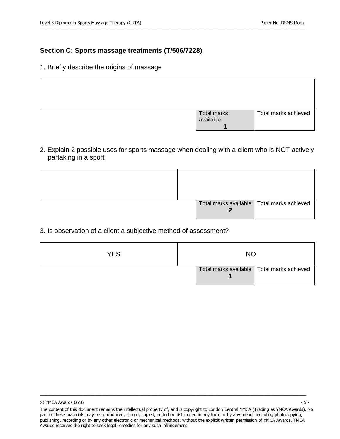# **Section C: Sports massage treatments (T/506/7228)**

1. Briefly describe the origins of massage

| Total marks<br>available | Total marks achieved |
|--------------------------|----------------------|

\_\_\_\_\_\_\_\_\_\_\_\_\_\_\_\_\_\_\_\_\_\_\_\_\_\_\_\_\_\_\_\_\_\_\_\_\_\_\_\_\_\_\_\_\_\_\_\_\_\_\_\_\_\_\_\_\_\_\_\_\_\_\_\_\_\_\_\_\_\_\_\_\_\_\_\_\_\_\_\_\_\_\_\_\_\_\_\_\_\_\_\_\_\_\_\_\_\_\_\_\_\_\_\_\_\_\_\_\_\_

2. Explain 2 possible uses for sports massage when dealing with a client who is NOT actively partaking in a sport

|  | Total marks available   Total marks achieved |  |
|--|----------------------------------------------|--|

### 3. Is observation of a client a subjective method of assessment?

| YES | NΟ |  |                                              |
|-----|----|--|----------------------------------------------|
|     |    |  | Total marks available   Total marks achieved |

 $\odot$  YMCA Awards 0616  $-$  5 -

The content of this document remains the intellectual property of, and is copyright to London Central YMCA (Trading as YMCA Awards). No part of these materials may be reproduced, stored, copied, edited or distributed in any form or by any means including photocopying, publishing, recording or by any other electronic or mechanical methods, without the explicit written permission of YMCA Awards. YMCA Awards reserves the right to seek legal remedies for any such infringement.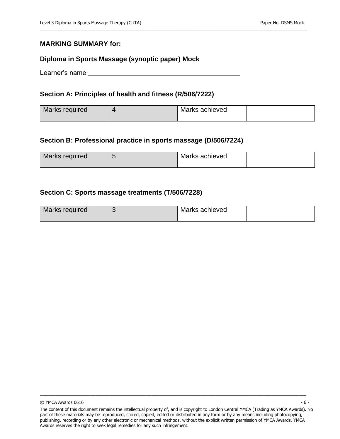#### **MARKING SUMMARY for:**

#### **Diploma in Sports Massage (synoptic paper) Mock**

Learner's name:

#### **Section A: Principles of health and fitness (R/506/7222)**

| Marks required | Marks achieved |  |
|----------------|----------------|--|
|                |                |  |

\_\_\_\_\_\_\_\_\_\_\_\_\_\_\_\_\_\_\_\_\_\_\_\_\_\_\_\_\_\_\_\_\_\_\_\_\_\_\_\_\_\_\_\_\_\_\_\_\_\_\_\_\_\_\_\_\_\_\_\_\_\_\_\_\_\_\_\_\_\_\_\_\_\_\_\_\_\_\_\_\_\_\_\_\_\_\_\_\_\_\_\_\_\_\_\_\_\_\_\_\_\_\_\_\_\_\_\_\_\_

#### **Section B: Professional practice in sports massage (D/506/7224)**

| Marks required | Marks achieved |  |
|----------------|----------------|--|
|                |                |  |

#### **Section C: Sports massage treatments (T/506/7228)**

| Marks required | Marks achieved |  |
|----------------|----------------|--|
|                |                |  |

 $\odot$  YMCA Awards 0616  $-6$  -

The content of this document remains the intellectual property of, and is copyright to London Central YMCA (Trading as YMCA Awards). No part of these materials may be reproduced, stored, copied, edited or distributed in any form or by any means including photocopying, publishing, recording or by any other electronic or mechanical methods, without the explicit written permission of YMCA Awards. YMCA Awards reserves the right to seek legal remedies for any such infringement.